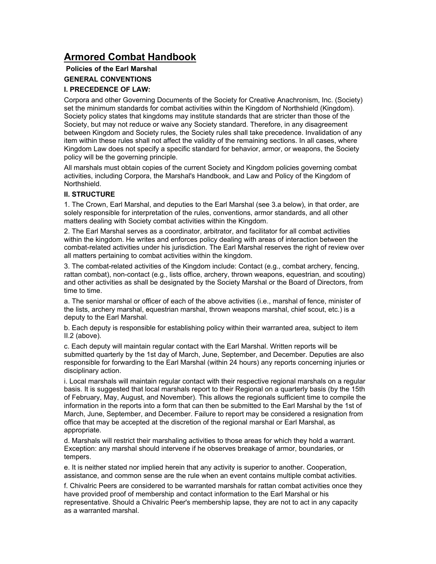# **Armored Combat Handbook**

## **Policies of the Earl Marshal GENERAL CONVENTIONS**

## **I. PRECEDENCE OF LAW:**

Corpora and other Governing Documents of the Society for Creative Anachronism, Inc. (Society) set the minimum standards for combat activities within the Kingdom of Northshield (Kingdom). Society policy states that kingdoms may institute standards that are stricter than those of the Society, but may not reduce or waive any Society standard. Therefore, in any disagreement between Kingdom and Society rules, the Society rules shall take precedence. Invalidation of any item within these rules shall not affect the validity of the remaining sections. In all cases, where Kingdom Law does not specify a specific standard for behavior, armor, or weapons, the Society policy will be the governing principle.

All marshals must obtain copies of the current Society and Kingdom policies governing combat activities, including Corpora, the Marshal's Handbook, and Law and Policy of the Kingdom of Northshield.

#### **II. STRUCTURE**

1. The Crown, Earl Marshal, and deputies to the Earl Marshal (see 3.a below), in that order, are solely responsible for interpretation of the rules, conventions, armor standards, and all other matters dealing with Society combat activities within the Kingdom.

2. The Earl Marshal serves as a coordinator, arbitrator, and facilitator for all combat activities within the kingdom. He writes and enforces policy dealing with areas of interaction between the combat-related activities under his jurisdiction. The Earl Marshal reserves the right of review over all matters pertaining to combat activities within the kingdom.

3. The combat-related activities of the Kingdom include: Contact (e.g., combat archery, fencing, rattan combat), non-contact (e.g., lists office, archery, thrown weapons, equestrian, and scouting) and other activities as shall be designated by the Society Marshal or the Board of Directors, from time to time.

a. The senior marshal or officer of each of the above activities (i.e., marshal of fence, minister of the lists, archery marshal, equestrian marshal, thrown weapons marshal, chief scout, etc.) is a deputy to the Earl Marshal.

b. Each deputy is responsible for establishing policy within their warranted area, subject to item II.2 (above).

c. Each deputy will maintain regular contact with the Earl Marshal. Written reports will be submitted quarterly by the 1st day of March, June, September, and December. Deputies are also responsible for forwarding to the Earl Marshal (within 24 hours) any reports concerning injuries or disciplinary action.

i. Local marshals will maintain regular contact with their respective regional marshals on a regular basis. It is suggested that local marshals report to their Regional on a quarterly basis (by the 15th of February, May, August, and November). This allows the regionals sufficient time to compile the information in the reports into a form that can then be submitted to the Earl Marshal by the 1st of March, June, September, and December. Failure to report may be considered a resignation from office that may be accepted at the discretion of the regional marshal or Earl Marshal, as appropriate.

d. Marshals will restrict their marshaling activities to those areas for which they hold a warrant. Exception: any marshal should intervene if he observes breakage of armor, boundaries, or tempers.

e. It is neither stated nor implied herein that any activity is superior to another. Cooperation, assistance, and common sense are the rule when an event contains multiple combat activities.

f. Chivalric Peers are considered to be warranted marshals for rattan combat activities once they have provided proof of membership and contact information to the Earl Marshal or his representative. Should a Chivalric Peer's membership lapse, they are not to act in any capacity as a warranted marshal.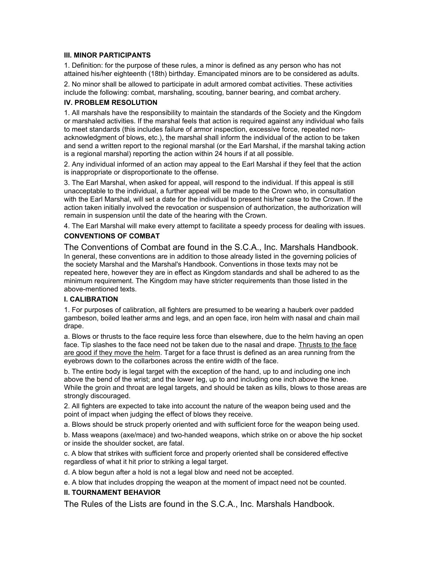#### **III. MINOR PARTICIPANTS**

1. Definition: for the purpose of these rules, a minor is defined as any person who has not attained his/her eighteenth (18th) birthday. Emancipated minors are to be considered as adults.

2. No minor shall be allowed to participate in adult armored combat activities. These activities include the following: combat, marshaling, scouting, banner bearing, and combat archery.

#### **IV. PROBLEM RESOLUTION**

1. All marshals have the responsibility to maintain the standards of the Society and the Kingdom or marshaled activities. If the marshal feels that action is required against any individual who fails to meet standards (this includes failure of armor inspection, excessive force, repeated nonacknowledgment of blows, etc.), the marshal shall inform the individual of the action to be taken and send a written report to the regional marshal (or the Earl Marshal, if the marshal taking action is a regional marshal) reporting the action within 24 hours if at all possible.

2. Any individual informed of an action may appeal to the Earl Marshal if they feel that the action is inappropriate or disproportionate to the offense.

3. The Earl Marshal, when asked for appeal, will respond to the individual. If this appeal is still unacceptable to the individual, a further appeal will be made to the Crown who, in consultation with the Earl Marshal, will set a date for the individual to present his/her case to the Crown. If the action taken initially involved the revocation or suspension of authorization, the authorization will remain in suspension until the date of the hearing with the Crown.

4. The Earl Marshal will make every attempt to facilitate a speedy process for dealing with issues.

## **CONVENTIONS OF COMBAT**

The Conventions of Combat are found in the S.C.A., Inc. Marshals Handbook. In general, these conventions are in addition to those already listed in the governing policies of the society Marshal and the Marshal's Handbook. Conventions in those texts may not be repeated here, however they are in effect as Kingdom standards and shall be adhered to as the minimum requirement. The Kingdom may have stricter requirements than those listed in the above-mentioned texts.

## **I. CALIBRATION**

1. For purposes of calibration, all fighters are presumed to be wearing a hauberk over padded gambeson, boiled leather arms and legs, and an open face, iron helm with nasal and chain mail drape.

a. Blows or thrusts to the face require less force than elsewhere, due to the helm having an open face. Tip slashes to the face need not be taken due to the nasal and drape. Thrusts to the face are good if they move the helm. Target for a face thrust is defined as an area running from the eyebrows down to the collarbones across the entire width of the face.

b. The entire body is legal target with the exception of the hand, up to and including one inch above the bend of the wrist; and the lower leg, up to and including one inch above the knee. While the groin and throat are legal targets, and should be taken as kills, blows to those areas are strongly discouraged.

2. All fighters are expected to take into account the nature of the weapon being used and the point of impact when judging the effect of blows they receive.

a. Blows should be struck properly oriented and with sufficient force for the weapon being used.

b. Mass weapons (axe/mace) and two-handed weapons, which strike on or above the hip socket or inside the shoulder socket, are fatal.

c. A blow that strikes with sufficient force and properly oriented shall be considered effective regardless of what it hit prior to striking a legal target.

d. A blow begun after a hold is not a legal blow and need not be accepted.

e. A blow that includes dropping the weapon at the moment of impact need not be counted.

## **II. TOURNAMENT BEHAVIOR**

The Rules of the Lists are found in the S.C.A., Inc. Marshals Handbook.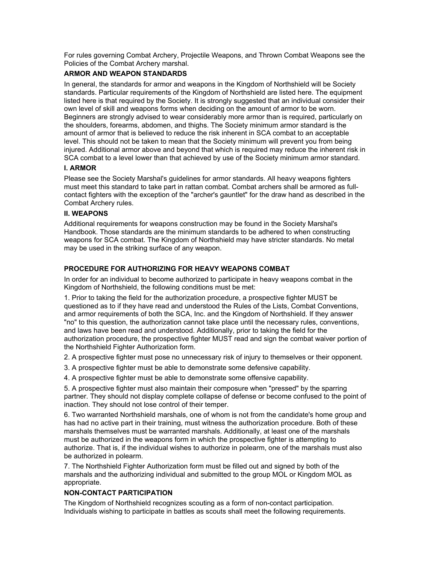For rules governing Combat Archery, Projectile Weapons, and Thrown Combat Weapons see the Policies of the Combat Archery marshal.

## **ARMOR AND WEAPON STANDARDS**

In general, the standards for armor and weapons in the Kingdom of Northshield will be Society standards. Particular requirements of the Kingdom of Northshield are listed here. The equipment listed here is that required by the Society. It is strongly suggested that an individual consider their own level of skill and weapons forms when deciding on the amount of armor to be worn. Beginners are strongly advised to wear considerably more armor than is required, particularly on the shoulders, forearms, abdomen, and thighs. The Society minimum armor standard is the amount of armor that is believed to reduce the risk inherent in SCA combat to an acceptable level. This should not be taken to mean that the Society minimum will prevent you from being injured. Additional armor above and beyond that which is required may reduce the inherent risk in SCA combat to a level lower than that achieved by use of the Society minimum armor standard.

#### **I. ARMOR**

Please see the Society Marshal's guidelines for armor standards. All heavy weapons fighters must meet this standard to take part in rattan combat. Combat archers shall be armored as fullcontact fighters with the exception of the "archer's gauntlet" for the draw hand as described in the Combat Archery rules.

#### **II. WEAPONS**

Additional requirements for weapons construction may be found in the Society Marshal's Handbook. Those standards are the minimum standards to be adhered to when constructing weapons for SCA combat. The Kingdom of Northshield may have stricter standards. No metal may be used in the striking surface of any weapon.

#### **PROCEDURE FOR AUTHORIZING FOR HEAVY WEAPONS COMBAT**

In order for an individual to become authorized to participate in heavy weapons combat in the Kingdom of Northshield, the following conditions must be met:

1. Prior to taking the field for the authorization procedure, a prospective fighter MUST be questioned as to if they have read and understood the Rules of the Lists, Combat Conventions, and armor requirements of both the SCA, Inc. and the Kingdom of Northshield. If they answer "no" to this question, the authorization cannot take place until the necessary rules, conventions, and laws have been read and understood. Additionally, prior to taking the field for the authorization procedure, the prospective fighter MUST read and sign the combat waiver portion of the Northshield Fighter Authorization form.

2. A prospective fighter must pose no unnecessary risk of injury to themselves or their opponent.

3. A prospective fighter must be able to demonstrate some defensive capability.

4. A prospective fighter must be able to demonstrate some offensive capability.

5. A prospective fighter must also maintain their composure when "pressed" by the sparring partner. They should not display complete collapse of defense or become confused to the point of inaction. They should not lose control of their temper.

6. Two warranted Northshield marshals, one of whom is not from the candidate's home group and has had no active part in their training, must witness the authorization procedure. Both of these marshals themselves must be warranted marshals. Additionally, at least one of the marshals must be authorized in the weapons form in which the prospective fighter is attempting to authorize. That is, if the individual wishes to authorize in polearm, one of the marshals must also be authorized in polearm.

7. The Northshield Fighter Authorization form must be filled out and signed by both of the marshals and the authorizing individual and submitted to the group MOL or Kingdom MOL as appropriate.

#### **NON-CONTACT PARTICIPATION**

The Kingdom of Northshield recognizes scouting as a form of non-contact participation. Individuals wishing to participate in battles as scouts shall meet the following requirements.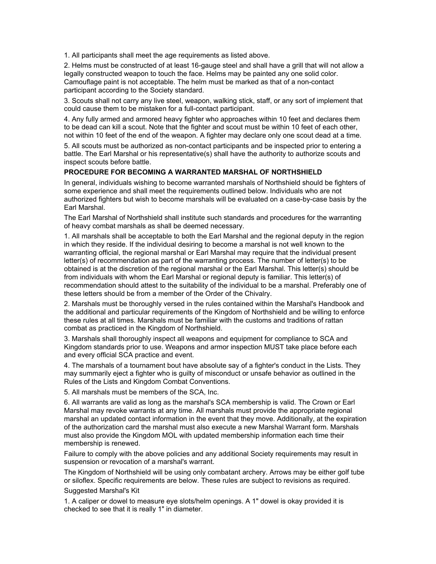1. All participants shall meet the age requirements as listed above.

2. Helms must be constructed of at least 16-gauge steel and shall have a grill that will not allow a legally constructed weapon to touch the face. Helms may be painted any one solid color. Camouflage paint is not acceptable. The helm must be marked as that of a non-contact participant according to the Society standard.

3. Scouts shall not carry any live steel, weapon, walking stick, staff, or any sort of implement that could cause them to be mistaken for a full-contact participant.

4. Any fully armed and armored heavy fighter who approaches within 10 feet and declares them to be dead can kill a scout. Note that the fighter and scout must be within 10 feet of each other, not within 10 feet of the end of the weapon. A fighter may declare only one scout dead at a time.

5. All scouts must be authorized as non-contact participants and be inspected prior to entering a battle. The Earl Marshal or his representative(s) shall have the authority to authorize scouts and inspect scouts before battle.

#### **PROCEDURE FOR BECOMING A WARRANTED MARSHAL OF NORTHSHIELD**

In general, individuals wishing to become warranted marshals of Northshield should be fighters of some experience and shall meet the requirements outlined below. Individuals who are not authorized fighters but wish to become marshals will be evaluated on a case-by-case basis by the Earl Marshal.

The Earl Marshal of Northshield shall institute such standards and procedures for the warranting of heavy combat marshals as shall be deemed necessary.

1. All marshals shall be acceptable to both the Earl Marshal and the regional deputy in the region in which they reside. If the individual desiring to become a marshal is not well known to the warranting official, the regional marshal or Earl Marshal may require that the individual present letter(s) of recommendation as part of the warranting process. The number of letter(s) to be obtained is at the discretion of the regional marshal or the Earl Marshal. This letter(s) should be from individuals with whom the Earl Marshal or regional deputy is familiar. This letter(s) of recommendation should attest to the suitability of the individual to be a marshal. Preferably one of these letters should be from a member of the Order of the Chivalry.

2. Marshals must be thoroughly versed in the rules contained within the Marshal's Handbook and the additional and particular requirements of the Kingdom of Northshield and be willing to enforce these rules at all times. Marshals must be familiar with the customs and traditions of rattan combat as practiced in the Kingdom of Northshield.

3. Marshals shall thoroughly inspect all weapons and equipment for compliance to SCA and Kingdom standards prior to use. Weapons and armor inspection MUST take place before each and every official SCA practice and event.

4. The marshals of a tournament bout have absolute say of a fighter's conduct in the Lists. They may summarily eject a fighter who is guilty of misconduct or unsafe behavior as outlined in the Rules of the Lists and Kingdom Combat Conventions.

5. All marshals must be members of the SCA, Inc.

6. All warrants are valid as long as the marshal's SCA membership is valid. The Crown or Earl Marshal may revoke warrants at any time. All marshals must provide the appropriate regional marshal an updated contact information in the event that they move. Additionally, at the expiration of the authorization card the marshal must also execute a new Marshal Warrant form. Marshals must also provide the Kingdom MOL with updated membership information each time their membership is renewed.

Failure to comply with the above policies and any additional Society requirements may result in suspension or revocation of a marshal's warrant.

The Kingdom of Northshield will be using only combatant archery. Arrows may be either golf tube or siloflex. Specific requirements are below. These rules are subject to revisions as required. Suggested Marshal's Kit

1. A caliper or dowel to measure eye slots/helm openings. A 1" dowel is okay provided it is checked to see that it is really 1" in diameter.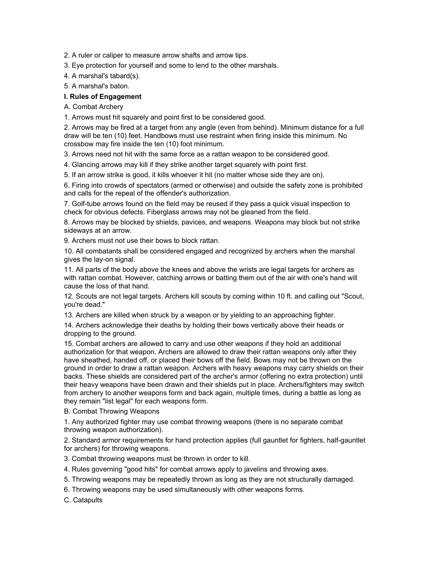2. A ruler or caliper to measure arrow shafts and arrow tips.

3. Eye protection for yourself and some to lend to the other marshals.

4. A marshal's tabard(s).

5. A marshal's baton.

## **I. Rules of Engagement**

A. Combat Archery

1. Arrows must hit squarely and point first to be considered good.

2. Arrows may be fired at a target from any angle (even from behind). Minimum distance for a full draw will be ten (10) feet. Handbows must use restraint when firing inside this minimum. No crossbow may fire inside the ten (10) foot minimum.

3. Arrows need not hit with the same force as a rattan weapon to be considered good.

4. Glancing arrows may kill if they strike another target squarely with point first.

5. If an arrow strike is good, it kills whoever it hit (no matter whose side they are on).

6. Firing into crowds of spectators (armed or otherwise) and outside the safety zone is prohibited and calls for the repeal of the offender's authorization.

7. Golf-tube arrows found on the field may be reused if they pass a quick visual inspection to check for obvious defects. Fiberglass arrows may not be gleaned from the field.

8. Arrows may be blocked by shields, pavices, and weapons. Weapons may block but not strike sideways at an arrow.

9. Archers must not use their bows to block rattan.

10. All combatants shall be considered engaged and recognized by archers when the marshal gives the lay-on signal.

11. All parts of the body above the knees and above the wrists are legal targets for archers as with rattan combat. However, catching arrows or batting them out of the air with one's hand will cause the loss of that hand.

12. Scouts are not legal targets. Archers kill scouts by coming within 10 ft. and calling out "Scout, you're dead."

13. Archers are killed when struck by a weapon or by yielding to an approaching fighter.

14. Archers acknowledge their deaths by holding their bows vertically above their heads or dropping to the ground.

15. Combat archers are allowed to carry and use other weapons if they hold an additional authorization for that weapon. Archers are allowed to draw their rattan weapons only after they have sheathed, handed off, or placed their bows off the field. Bows may not be thrown on the ground in order to draw a rattan weapon. Archers with heavy weapons may carry shields on their backs. These shields are considered part of the archer's armor (offering no extra protection) until their heavy weapons have been drawn and their shields put in place. Archers/fighters may switch from archery to another weapons form and back again, multiple times, during a battle as long as they remain "list legal" for each weapons form.

#### B. Combat Throwing Weapons

1. Any authorized fighter may use combat throwing weapons (there is no separate combat throwing weapon authorization).

2. Standard armor requirements for hand protection applies (full gauntlet for fighters, half-gauntlet for archers) for throwing weapons.

3. Combat throwing weapons must be thrown in order to kill.

- 4. Rules governing "good hits" for combat arrows apply to javelins and throwing axes.
- 5. Throwing weapons may be repeatedly thrown as long as they are not structurally damaged.
- 6. Throwing weapons may be used simultaneously with other weapons forms.

C. Catapults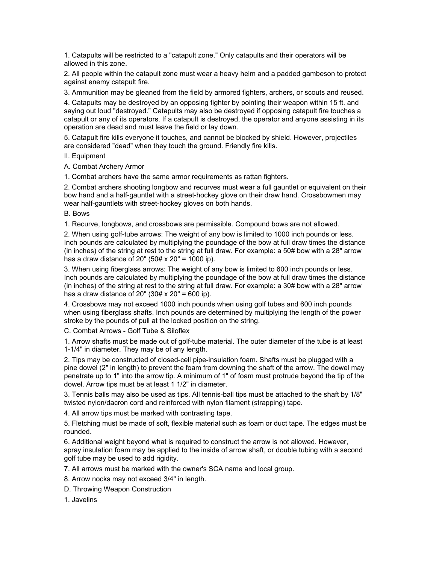1. Catapults will be restricted to a "catapult zone." Only catapults and their operators will be allowed in this zone.

2. All people within the catapult zone must wear a heavy helm and a padded gambeson to protect against enemy catapult fire.

3. Ammunition may be gleaned from the field by armored fighters, archers, or scouts and reused.

4. Catapults may be destroyed by an opposing fighter by pointing their weapon within 15 ft. and saying out loud "destroyed." Catapults may also be destroyed if opposing catapult fire touches a catapult or any of its operators. If a catapult is destroyed, the operator and anyone assisting in its operation are dead and must leave the field or lay down.

5. Catapult fire kills everyone it touches, and cannot be blocked by shield. However, projectiles are considered "dead" when they touch the ground. Friendly fire kills.

II. Equipment

A. Combat Archery Armor

1. Combat archers have the same armor requirements as rattan fighters.

2. Combat archers shooting longbow and recurves must wear a full gauntlet or equivalent on their bow hand and a half-gauntlet with a street-hockey glove on their draw hand. Crossbowmen may wear half-gauntlets with street-hockey gloves on both hands.

B. Bows

1. Recurve, longbows, and crossbows are permissible. Compound bows are not allowed.

2. When using golf-tube arrows: The weight of any bow is limited to 1000 inch pounds or less. Inch pounds are calculated by multiplying the poundage of the bow at full draw times the distance (in inches) of the string at rest to the string at full draw. For example: a 50# bow with a 28" arrow has a draw distance of 20" (50#  $\times$  20" = 1000 ip).

3. When using fiberglass arrows: The weight of any bow is limited to 600 inch pounds or less. Inch pounds are calculated by multiplying the poundage of the bow at full draw times the distance (in inches) of the string at rest to the string at full draw. For example: a 30# bow with a 28" arrow has a draw distance of 20" (30#  $\times$  20" = 600 ip).

4. Crossbows may not exceed 1000 inch pounds when using golf tubes and 600 inch pounds when using fiberglass shafts. Inch pounds are determined by multiplying the length of the power stroke by the pounds of pull at the locked position on the string.

C. Combat Arrows - Golf Tube & Siloflex

1. Arrow shafts must be made out of golf-tube material. The outer diameter of the tube is at least 1-1/4" in diameter. They may be of any length.

2. Tips may be constructed of closed-cell pipe-insulation foam. Shafts must be plugged with a pine dowel (2" in length) to prevent the foam from downing the shaft of the arrow. The dowel may penetrate up to 1" into the arrow tip. A minimum of 1" of foam must protrude beyond the tip of the dowel. Arrow tips must be at least 1 1/2" in diameter.

3. Tennis balls may also be used as tips. All tennis-ball tips must be attached to the shaft by 1/8" twisted nylon/dacron cord and reinforced with nylon filament (strapping) tape.

4. All arrow tips must be marked with contrasting tape.

5. Fletching must be made of soft, flexible material such as foam or duct tape. The edges must be rounded.

6. Additional weight beyond what is required to construct the arrow is not allowed. However, spray insulation foam may be applied to the inside of arrow shaft, or double tubing with a second golf tube may be used to add rigidity.

7. All arrows must be marked with the owner's SCA name and local group.

8. Arrow nocks may not exceed 3/4" in length.

D. Throwing Weapon Construction

1. Javelins